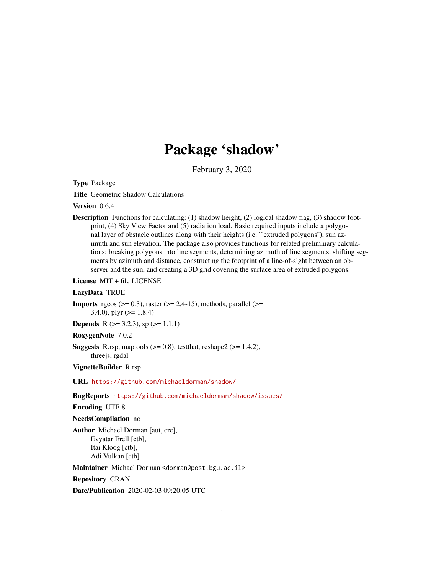# Package 'shadow'

February 3, 2020

Type Package

Title Geometric Shadow Calculations

Version 0.6.4

**Description** Functions for calculating:  $(1)$  shadow height,  $(2)$  logical shadow flag,  $(3)$  shadow footprint, (4) Sky View Factor and (5) radiation load. Basic required inputs include a polygonal layer of obstacle outlines along with their heights (i.e. "extruded polygons"), sun azimuth and sun elevation. The package also provides functions for related preliminary calculations: breaking polygons into line segments, determining azimuth of line segments, shifting segments by azimuth and distance, constructing the footprint of a line-of-sight between an observer and the sun, and creating a 3D grid covering the surface area of extruded polygons.

License MIT + file LICENSE

#### LazyData TRUE

**Imports** rgeos  $(>= 0.3)$ , raster  $(>= 2.4-15)$ , methods, parallel  $(>= 1.4-1.5)$ 3.4.0), plyr  $(>= 1.8.4)$ 

**Depends** R ( $> = 3.2.3$ ), sp ( $> = 1.1.1$ )

RoxygenNote 7.0.2

**Suggests** R.rsp, maptools  $(>= 0.8)$ , test that, reshape  $2 (= 1.4.2)$ , threejs, rgdal

VignetteBuilder R.rsp

URL <https://github.com/michaeldorman/shadow/>

BugReports <https://github.com/michaeldorman/shadow/issues/>

Encoding UTF-8

#### NeedsCompilation no

Author Michael Dorman [aut, cre], Evyatar Erell [ctb], Itai Kloog [ctb], Adi Vulkan [ctb]

Maintainer Michael Dorman <dorman@post.bgu.ac.il>

Repository CRAN

Date/Publication 2020-02-03 09:20:05 UTC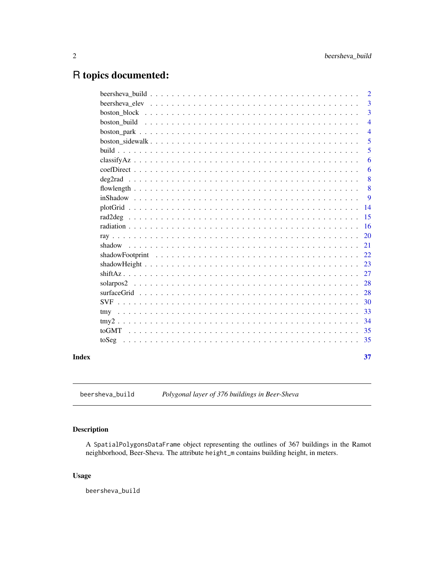## <span id="page-1-0"></span>R topics documented:

|  | $\overline{2}$ |
|--|----------------|
|  | $\overline{3}$ |
|  | 3              |
|  | $\overline{4}$ |
|  | $\overline{4}$ |
|  | 5              |
|  | 5              |
|  | 6              |
|  | 6              |
|  | 8              |
|  | 8              |
|  | 9              |
|  | 14             |
|  | 15             |
|  | 16             |
|  | <b>20</b>      |
|  | 21             |
|  | 22             |
|  | 23             |
|  | 27             |
|  | 28             |
|  | 28             |
|  | 30             |
|  | 33             |
|  | 34             |
|  | 35             |
|  | 35             |
|  | 37             |
|  |                |

beersheva\_build *Polygonal layer of 376 buildings in Beer-Sheva*

#### Description

A SpatialPolygonsDataFrame object representing the outlines of 367 buildings in the Ramot neighborhood, Beer-Sheva. The attribute height\_m contains building height, in meters.

#### Usage

beersheva\_build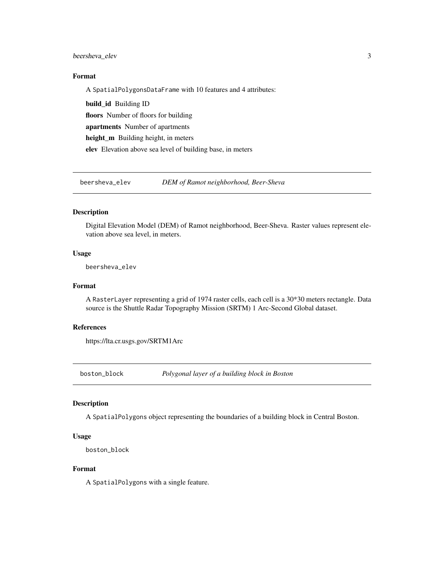#### <span id="page-2-0"></span>beersheva\_elev 3

#### Format

A SpatialPolygonsDataFrame with 10 features and 4 attributes:

build\_id Building ID floors Number of floors for building apartments Number of apartments height\_m Building height, in meters elev Elevation above sea level of building base, in meters

beersheva\_elev *DEM of Ramot neighborhood, Beer-Sheva*

#### Description

Digital Elevation Model (DEM) of Ramot neighborhood, Beer-Sheva. Raster values represent elevation above sea level, in meters.

#### Usage

beersheva\_elev

#### Format

A RasterLayer representing a grid of 1974 raster cells, each cell is a 30\*30 meters rectangle. Data source is the Shuttle Radar Topography Mission (SRTM) 1 Arc-Second Global dataset.

#### References

https://lta.cr.usgs.gov/SRTM1Arc

boston\_block *Polygonal layer of a building block in Boston*

#### Description

A SpatialPolygons object representing the boundaries of a building block in Central Boston.

#### Usage

boston\_block

#### Format

A SpatialPolygons with a single feature.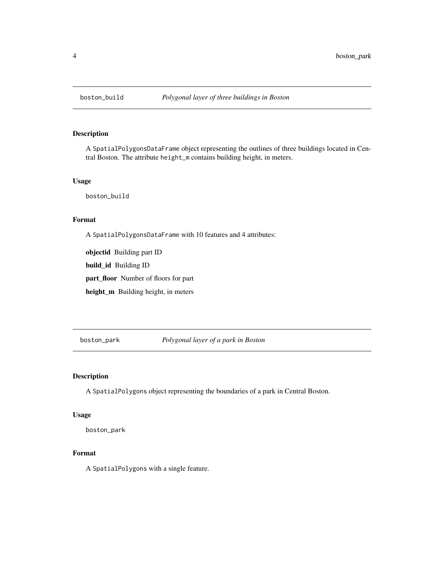<span id="page-3-0"></span>

#### Description

A SpatialPolygonsDataFrame object representing the outlines of three buildings located in Central Boston. The attribute height\_m contains building height, in meters.

#### Usage

boston\_build

### Format

A SpatialPolygonsDataFrame with 10 features and 4 attributes:

objectid Building part ID

build\_id Building ID

part\_floor Number of floors for part

height\_m Building height, in meters

boston\_park *Polygonal layer of a park in Boston*

#### Description

A SpatialPolygons object representing the boundaries of a park in Central Boston.

#### Usage

boston\_park

#### Format

A SpatialPolygons with a single feature.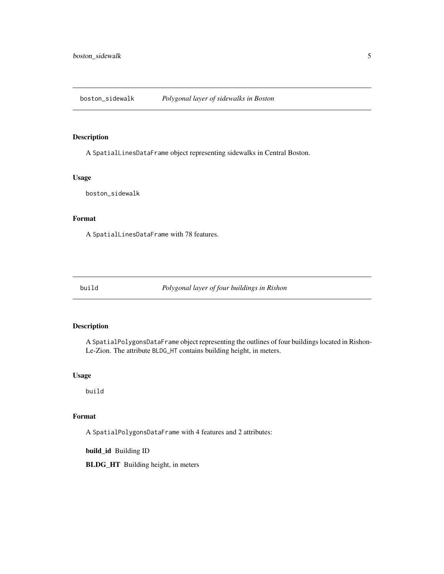<span id="page-4-0"></span>boston\_sidewalk *Polygonal layer of sidewalks in Boston*

#### Description

A SpatialLinesDataFrame object representing sidewalks in Central Boston.

#### Usage

boston\_sidewalk

#### Format

A SpatialLinesDataFrame with 78 features.

build *Polygonal layer of four buildings in Rishon*

#### Description

A SpatialPolygonsDataFrame object representing the outlines of four buildings located in Rishon-Le-Zion. The attribute BLDG\_HT contains building height, in meters.

#### Usage

build

#### Format

A SpatialPolygonsDataFrame with 4 features and 2 attributes:

build\_id Building ID

BLDG\_HT Building height, in meters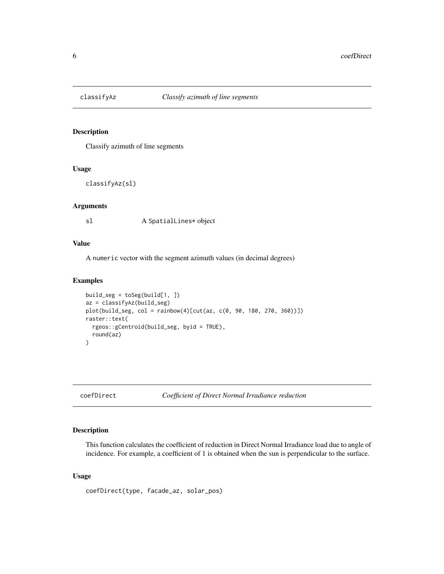<span id="page-5-0"></span>

#### Description

Classify azimuth of line segments

#### Usage

```
classifyAz(sl)
```
#### Arguments

sl A SpatialLines\* object

#### Value

A numeric vector with the segment azimuth values (in decimal degrees)

#### Examples

```
build_seg = toSeg(build[1, ])
az = classifyAz(build_seg)
plot(build_seg, col = rainbow(4)[cut(az, c(0, 90, 180, 270, 360))])
raster::text(
  rgeos::gCentroid(build_seg, byid = TRUE),
  round(az)
\mathcal{L}
```
<span id="page-5-1"></span>coefDirect *Coefficient of Direct Normal Irradiance reduction*

#### Description

This function calculates the coefficient of reduction in Direct Normal Irradiance load due to angle of incidence. For example, a coefficient of 1 is obtained when the sun is perpendicular to the surface.

#### Usage

coefDirect(type, facade\_az, solar\_pos)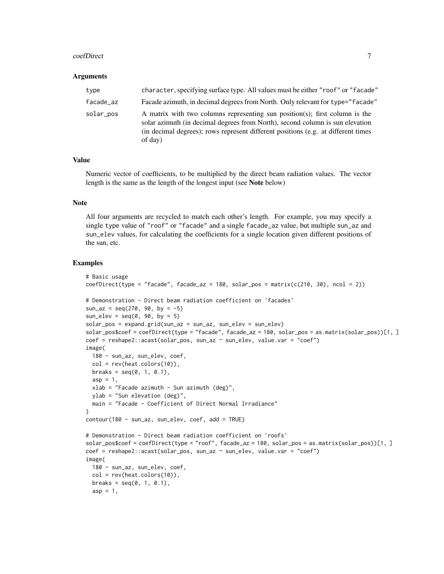#### coefDirect 7

#### Arguments

| type      | character, specifying surface type. All values must be either "roof" or "facade"                                                                                                                                                                             |
|-----------|--------------------------------------------------------------------------------------------------------------------------------------------------------------------------------------------------------------------------------------------------------------|
| facade_az | Facade azimuth, in decimal degrees from North. Only relevant for type="facade"                                                                                                                                                                               |
| solar_pos | A matrix with two columns representing sun position(s); first column is the<br>solar azimuth (in decimal degrees from North), second column is sun elevation<br>(in decimal degrees); rows represent different positions (e.g. at different times<br>of day) |

#### Value

Numeric vector of coefficients, to be multiplied by the direct beam radiation values. The vector length is the same as the length of the longest input (see Note below)

#### Note

All four arguments are recycled to match each other's length. For example, you may specify a single type value of "roof" or "facade" and a single facade\_az value, but multiple sun\_az and sun\_elev values, for calculating the coefficients for a single location given different positions of the sun, etc.

```
# Basic usage
coeffDirect(type = "facade", facede_az = 180, solar_pos = matrix(c(210, 30), ncol = 2))# Demonstration - Direct beam radiation coefficient on 'facades'
sun_az = seq(270, 90, by = -5)sun\_elev = seq(0, 90, by = 5)solar_pos = expand.grid(sun_az = sun_az, sun_elev = sun_elev)
solar_pos$coef = coefDirect(type = "facade", facade_az = 180, solar_pos = as.matrix(solar_pos))[1, ]
coef = reshape2::acast(solar_pos, sun_az ~ sun_elev, value.var = "coef")
image(
 180 - sun_az, sun_elev, coef,
 col = rev(head.colors(10)),breaks = seq(0, 1, 0.1),asp = 1,xlab = "Facade azimuth - Sun azimuth (deg)",
 ylab = "Sun elevation (deg)",
 main = "Facade - Coefficient of Direct Normal Irradiance"
\lambdacontour(180 - sun_az, sun_elev, coef, add = TRUE)
# Demonstration - Direct beam radiation coefficient on 'roofs'
solar_pos$coef = coefDirect(type = "roof", facade_az = 180, solar_pos = as.matrix(solar_pos))[1, ]
coef = reshape2::acast(solar_pos, sun_az ~ sun_elev, value.var = "coef")
image(
 180 - sun_az, sun_elev, coef,
 col = rev(head.colors(10)),breaks = seq(0, 1, 0.1),
 asp = 1,
```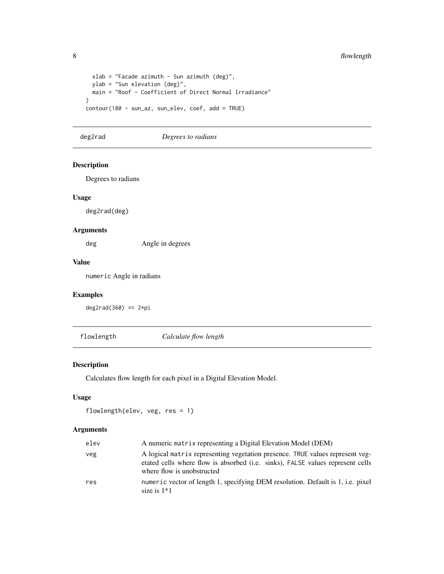```
xlab = "Facade azimuth - Sun azimuth (deg)",
  ylab = "Sun elevation (deg)",
 main = "Roof - Coefficient of Direct Normal Irradiance"
\mathcal{L}contour(180 - sun_az, sun_elev, coef, add = TRUE)
```
deg2rad *Degrees to radians*

#### Description

Degrees to radians

#### Usage

deg2rad(deg)

#### Arguments

deg Angle in degrees

#### Value

numeric Angle in radians

#### Examples

 $deg2rad(360) == 2*pi$ 

flowlength *Calculate flow length*

#### Description

Calculates flow length for each pixel in a Digital Elevation Model.

#### Usage

flowlength(elev, veg, res = 1)

#### Arguments

| elev | A numeric matrix representing a Digital Elevation Model (DEM)                                                                                                                                 |
|------|-----------------------------------------------------------------------------------------------------------------------------------------------------------------------------------------------|
| veg  | A logical matrix representing vegetation presence. TRUE values represent veg-<br>etated cells where flow is absorbed (i.e. sinks), FALSE values represent cells<br>where flow is unobstructed |
| res  | numeric vector of length 1, specifying DEM resolution. Default is 1, i.e. pixel<br>size is $1*1$                                                                                              |

<span id="page-7-0"></span>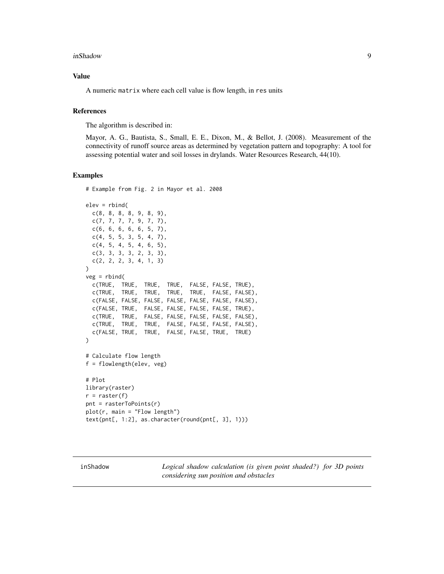#### <span id="page-8-0"></span>inShadow 9

#### Value

A numeric matrix where each cell value is flow length, in res units

#### References

The algorithm is described in:

Mayor, A. G., Bautista, S., Small, E. E., Dixon, M., & Bellot, J. (2008). Measurement of the connectivity of runoff source areas as determined by vegetation pattern and topography: A tool for assessing potential water and soil losses in drylands. Water Resources Research, 44(10).

#### Examples

```
# Example from Fig. 2 in Mayor et al. 2008
elev = rbind(
  c(8, 8, 8, 8, 9, 8, 9),
  c(7, 7, 7, 7, 9, 7, 7),
  c(6, 6, 6, 6, 6, 5, 7),
  c(4, 5, 5, 3, 5, 4, 7),
  c(4, 5, 4, 5, 4, 6, 5),
  c(3, 3, 3, 3, 2, 3, 3),
  c(2, 2, 2, 3, 4, 1, 3)
)
veg = rbind(c(TRUE, TRUE, TRUE, TRUE, FALSE, FALSE, TRUE),
  c(TRUE, TRUE, TRUE, TRUE, TRUE, FALSE, FALSE),
  c(FALSE, FALSE, FALSE, FALSE, FALSE, FALSE, FALSE),
  c(FALSE, TRUE, FALSE, FALSE, FALSE, FALSE, TRUE),
  c(TRUE, TRUE, FALSE, FALSE, FALSE, FALSE, FALSE),
  c(TRUE, TRUE, TRUE, FALSE, FALSE, FALSE, FALSE),
  c(FALSE, TRUE, TRUE, FALSE, FALSE, TRUE, TRUE)
)
# Calculate flow length
f = flowlength(elev, veg)
# Plot
library(raster)
r =r raster(f)
pnt = rasterToPoints(r)
plot(r, main = "Flow length")text(pnt[, 1:2], as.character(round(pnt[, 3], 1)))
```
<span id="page-8-1"></span>inShadow *Logical shadow calculation (is given point shaded?) for 3D points considering sun position and obstacles*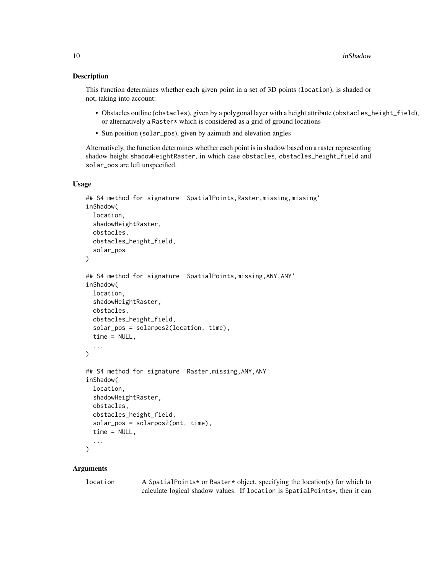#### Description

This function determines whether each given point in a set of 3D points (location), is shaded or not, taking into account:

- Obstacles outline (obstacles), given by a polygonal layer with a height attribute (obstacles\_height\_field), or alternatively a Raster\* which is considered as a grid of ground locations
- Sun position (solar\_pos), given by azimuth and elevation angles

Alternatively, the function determines whether each point is in shadow based on a raster representing shadow height shadowHeightRaster, in which case obstacles, obstacles\_height\_field and solar\_pos are left unspecified.

#### Usage

```
## S4 method for signature 'SpatialPoints, Raster, missing, missing'
inShadow(
  location,
  shadowHeightRaster,
  obstacles,
  obstacles_height_field,
  solar_pos
\lambda## S4 method for signature 'SpatialPoints,missing,ANY,ANY'
inShadow(
  location,
  shadowHeightRaster,
 obstacles,
  obstacles_height_field,
  solar_pos = solarpos2(location, time),
  time = NULL,
  ...
\lambda## S4 method for signature 'Raster,missing,ANY,ANY'
inShadow(
  location,
  shadowHeightRaster,
  obstacles,
  obstacles_height_field,
  solar_pos = solarpos2(pnt, time),
  time = NULL,
  ...
\mathcal{L}
```
#### Arguments

location A SpatialPoints\* or Raster\* object, specifying the location(s) for which to calculate logical shadow values. If location is SpatialPoints\*, then it can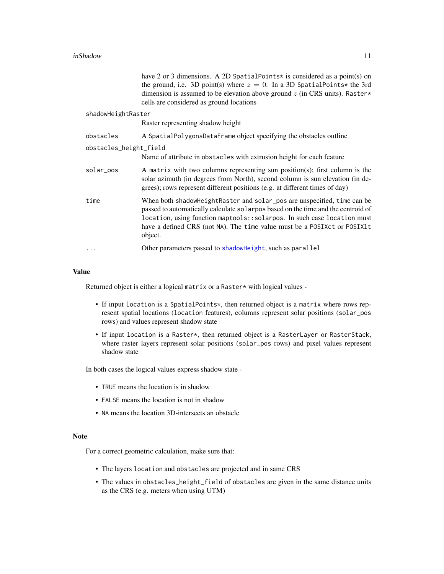<span id="page-10-0"></span>

|                        | have 2 or 3 dimensions. A 2D SpatialPoints* is considered as a point(s) on<br>the ground, i.e. 3D point(s) where $z = 0$ . In a 3D SpatialPoints* the 3rd<br>dimension is assumed to be elevation above ground $z$ (in CRS units). Raster*<br>cells are considered as ground locations                                              |
|------------------------|-------------------------------------------------------------------------------------------------------------------------------------------------------------------------------------------------------------------------------------------------------------------------------------------------------------------------------------|
| shadowHeightRaster     |                                                                                                                                                                                                                                                                                                                                     |
|                        | Raster representing shadow height                                                                                                                                                                                                                                                                                                   |
| obstacles              | A SpatialPolygonsDataFrame object specifying the obstacles outline                                                                                                                                                                                                                                                                  |
| obstacles_height_field |                                                                                                                                                                                                                                                                                                                                     |
|                        | Name of attribute in obstacles with extrusion height for each feature                                                                                                                                                                                                                                                               |
| solar_pos              | A matrix with two columns representing sun position(s); first column is the<br>solar azimuth (in degrees from North), second column is sun elevation (in de-<br>grees); rows represent different positions (e.g. at different times of day)                                                                                         |
| time                   | When both shadow Height Raster and solar pos are unspecified, time can be<br>passed to automatically calculate solarpos based on the time and the centroid of<br>location, using function maptools: : solarpos. In such case location must<br>have a defined CRS (not NA). The time value must be a POSIX ct or POSIX lt<br>object. |
| .                      | Other parameters passed to shadowHeight, such as parallel                                                                                                                                                                                                                                                                           |
|                        |                                                                                                                                                                                                                                                                                                                                     |

#### Value

Returned object is either a logical matrix or a Raster\* with logical values -

- If input location is a SpatialPoints\*, then returned object is a matrix where rows represent spatial locations (location features), columns represent solar positions (solar\_pos rows) and values represent shadow state
- If input location is a Raster\*, then returned object is a RasterLayer or RasterStack, where raster layers represent solar positions (solar\_pos rows) and pixel values represent shadow state

In both cases the logical values express shadow state -

- TRUE means the location is in shadow
- FALSE means the location is not in shadow
- NA means the location 3D-intersects an obstacle

#### Note

For a correct geometric calculation, make sure that:

- The layers location and obstacles are projected and in same CRS
- The values in obstacles\_height\_field of obstacles are given in the same distance units as the CRS (e.g. meters when using UTM)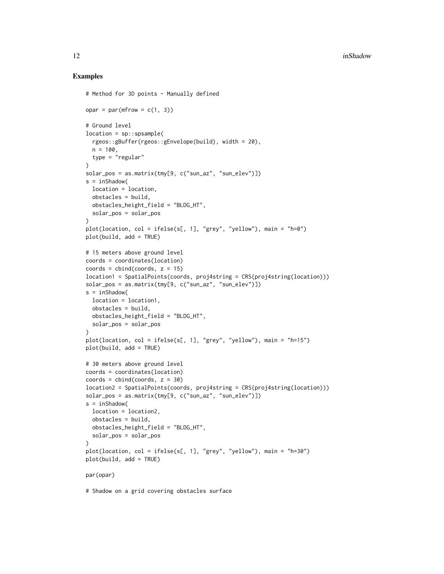```
# Method for 3D points - Manually defined
opar = par(mfrow = c(1, 3))# Ground level
location = sp::spsample(
  rgeos::gBuffer(rgeos::gEnvelope(build), width = 20),
 n = 100.
 type = "regular"
)
solar_pos = as.matrix(tmy[9, c("sun_az", "sun_elev")])
s = inShadow(
 location = location,
 obstacles = build,
 obstacles_height_field = "BLDG_HT",
  solar_pos = solar_pos
\lambdaplot(location, col = ifelse(s[, 1], "grey", "yellow"), main = "h=0")
plot(build, add = TRUE)
# 15 meters above ground level
coords = coordinates(location)
coords = cbind(coords, z = 15)location1 = SpatialPoints(coords, proj4string = CRS(proj4string(location)))
solar_pos = as.matrix(tmy[9, c("sun_az", "sun_elev")])
s = inShadow(location = location1,
 obstacles = build,
  obstacles_height_field = "BLDG_HT",
  solar_pos = solar_pos
)
plot(location, col = ifelse(s[, 1], "grey", "yellow"), main = "h=15")
plot(build, add = TRUE)
# 30 meters above ground level
coords = coordinates(location)
coords = cbind(coords, z = 30)location2 = SpatialPoints(coords, proj4string = CRS(proj4string(location)))
solar_pos = as_matrix(tmy[9, c("sun_az", "sun_elev"))s = inShadow(
 location = location2,
 obstacles = build,
 obstacles_height_field = "BLDG_HT",
  solar_pos = solar_pos
)
plot(location, col = ifelse(s[, 1], "grey", "yellow"), main = "h=30")
plot(build, add = TRUE)
par(opar)
# Shadow on a grid covering obstacles surface
```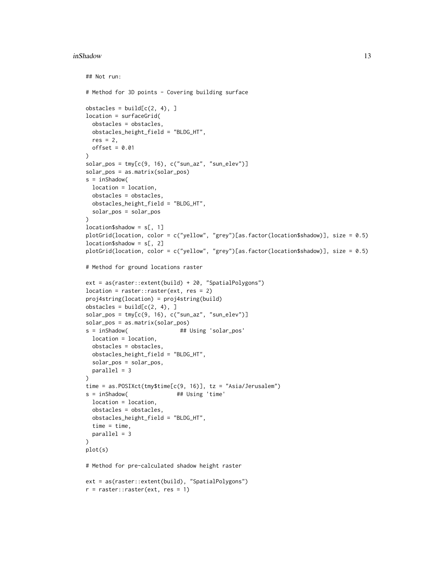#### inShadow 13

```
## Not run:
# Method for 3D points - Covering building surface
obstack = build[c(2, 4), ]location = surfaceGrid(
  obstacles = obstacles,
 obstacles_height_field = "BLDG_HT",
 res = 2,
 offset = 0.01\mathcal{L}solar_pos = tmp[c(9, 16), c("sun_az", "sun_elev")]solar_pos = as.matrix(solar_pos)
s = inShadow(
  location = location,
  obstacles = obstacles,
  obstacles_height_field = "BLDG_HT",
  solar_pos = solar_pos
)
location$shadow = s[, 1]plotGrid(location, color = c("yellow", "grey")[as.factor(location$shadow)], size = 0.5)
location$shadow = s[, 2]
plotGrid(location, color = c("yellow", "grey")[as.factor(location$shadow)], size = 0.5)
# Method for ground locations raster
ext = as(raster::extent(build) + 20, "SpatialPolygons")
location = raster::raster(ext, res = 2)proj4string(location) = proj4string(build)
obstackes = build[c(2, 4), ]solar_pos = tmy[c(9, 16), c("sun_az", "sun_elev")]solar_pos = as.matrix(solar_pos)
s = inShadow( ## Using 'solar_pos'
 location = location,
  obstacles = obstacles,
  obstacles_height_field = "BLDG_HT",
  solar_pos = solar_pos,
  parallel = 3
)
time = as.POSIXct(tmy$time[c(9, 16)], tz = "Asia/Jerusalem")
s = inShadow( ## Using 'time'
  location = location,
  obstacles = obstacles,
  obstacles_height_field = "BLDG_HT",
 time = time,
 parallel = 3
\mathcal{L}plot(s)
# Method for pre-calculated shadow height raster
ext = as(raster::extent(build), "SpatialPolygons")
r = raster::raster(ext, res = 1)
```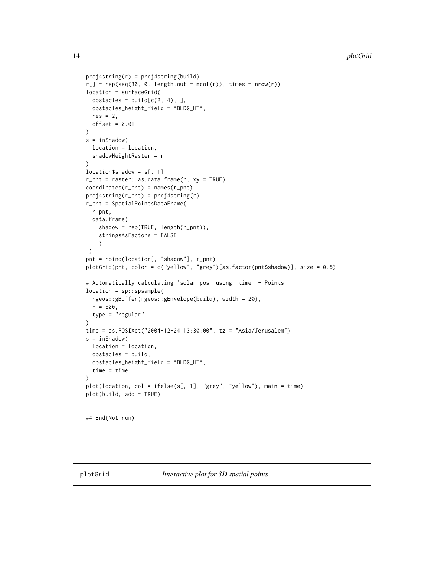```
proj4string(r) = proj4string(build)
r[] = rep(seq(30, 0, length.out = ncol(r)), times = nrow(r))location = surfaceGrid(
  obstack = build[c(2, 4), ]obstacles_height_field = "BLDG_HT",
  res = 2,
  offset = 0.01\mathcal{L}s = inShadow(
  location = location,
  shadowHeightRaster = r
\lambdalocation$shadow = s[, 1]r\_pnt = raster::as.data.frame(r, xy = TRUE)coordinates(r_pnt) = names(r_pnt)
proj4string(r_pnt) = proj4string(r)
r_pnt = SpatialPointsDataFrame(
  r_pnt,
  data.frame(
    shadow = rep(TRUE, length(r_pnt)),
    stringsAsFactors = FALSE
    \lambda\mathcal{L}pnt = rbind(location[, "shadow"], r_pnt)
plotGrid(pnt, color = c("yellow", "grey")[as.factor(pnt$shadow)], size = 0.5)
# Automatically calculating 'solar_pos' using 'time' - Points
location = sp::spsample(
  rgeos::gBuffer(rgeos::gEnvelope(build), width = 20),
  n = 500,type = "regular"
)
time = as.POSIXct("2004-12-24 13:30:00", tz = "Asia/Jerusalem")
s = inShadow(
  location = location,
  obstacles = build,
  obstacles_height_field = "BLDG_HT",
  time = time
)
plot(location, col = ifelse(s[, 1], "grey", "yellow"), main = time)
plot(build, add = TRUE)
## End(Not run)
```
<span id="page-13-1"></span>

<span id="page-13-0"></span>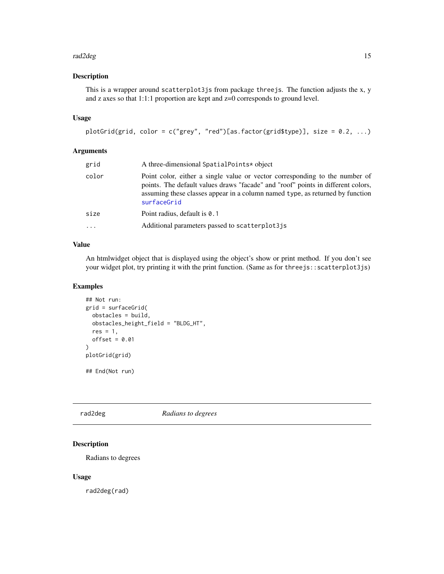#### <span id="page-14-0"></span>rad2deg 15

#### Description

This is a wrapper around scatterplot3js from package threejs. The function adjusts the x, y and z axes so that 1:1:1 proportion are kept and z=0 corresponds to ground level.

#### Usage

```
plotGrid(grid, color = c("grey", "red")[as.factor(grid$type)], size = 0.2, ...)
```
#### Arguments

| grid  | A three-dimensional SpatialPoints* object                                                                                                                                                                                                                       |
|-------|-----------------------------------------------------------------------------------------------------------------------------------------------------------------------------------------------------------------------------------------------------------------|
| color | Point color, either a single value or vector corresponding to the number of<br>points. The default values draws "facade" and "roof" points in different colors,<br>assuming these classes appear in a column named type, as returned by function<br>surfaceGrid |
| size  | Point radius, default is 0.1                                                                                                                                                                                                                                    |
| .     | Additional parameters passed to scatterplot 3 is                                                                                                                                                                                                                |
|       |                                                                                                                                                                                                                                                                 |

#### Value

An htmlwidget object that is displayed using the object's show or print method. If you don't see your widget plot, try printing it with the print function. (Same as for threejs::scatterplot3js)

#### Examples

```
## Not run:
grid = surfaceGrid(
  obstacles = build,
 obstacles_height_field = "BLDG_HT",
  res = 1,
  offset = 0.01)
plotGrid(grid)
## End(Not run)
```
rad2deg *Radians to degrees*

#### Description

Radians to degrees

#### Usage

rad2deg(rad)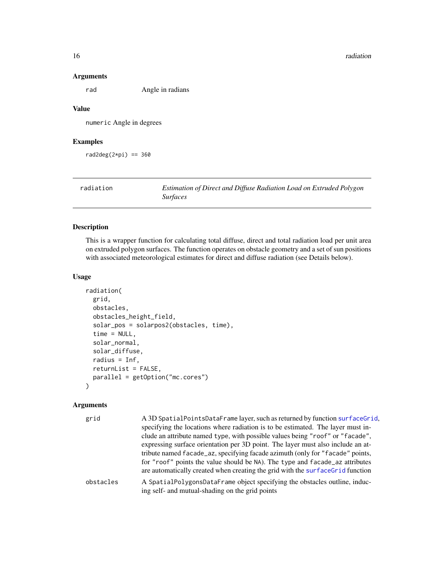#### 16 radiation and the contract of the contract of the contract of the contract of the contract of the contract of the contract of the contract of the contract of the contract of the contract of the contract of the contract

#### Arguments

rad Angle in radians

#### Value

numeric Angle in degrees

#### Examples

rad2deg $(2*pi) == 360$ 

radiation *Estimation of Direct and Diffuse Radiation Load on Extruded Polygon Surfaces*

#### Description

This is a wrapper function for calculating total diffuse, direct and total radiation load per unit area on extruded polygon surfaces. The function operates on obstacle geometry and a set of sun positions with associated meteorological estimates for direct and diffuse radiation (see Details below).

#### Usage

```
radiation(
  grid,
 obstacles,
  obstacles_height_field,
  solar_pos = solarpos2(obstacles, time),
  time = NULL,
  solar_normal,
  solar_diffuse,
  radius = Inf,
  returnList = FALSE,
 parallel = getOption("mc.cores")
\mathcal{E}
```
#### Arguments

| grid      | A 3D SpatialPointsDataFrame layer, such as returned by function surfaceGrid.                                                     |
|-----------|----------------------------------------------------------------------------------------------------------------------------------|
|           | specifying the locations where radiation is to be estimated. The layer must in-                                                  |
|           | clude an attribute named type, with possible values being "roof" or "facade",                                                    |
|           | expressing surface orientation per 3D point. The layer must also include an at-                                                  |
|           | tribute named facade_az, specifying facade azimuth (only for "facade" points,                                                    |
|           | for "roof" points the value should be NA). The type and facade_az attributes                                                     |
|           | are automatically created when creating the grid with the surface Grid function                                                  |
| obstacles | A Spatial Polygons Data Frame object specifying the obstacles outline, induc-<br>ing self- and mutual-shading on the grid points |

<span id="page-15-0"></span>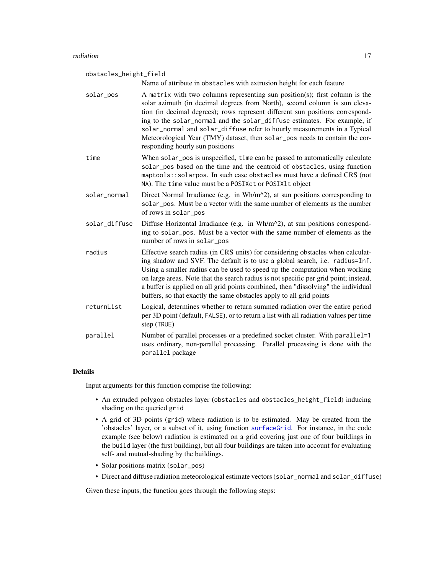<span id="page-16-0"></span>obstacles\_height\_field Name of attribute in obstacles with extrusion height for each feature solar\_pos A matrix with two columns representing sun position(s); first column is the solar azimuth (in decimal degrees from North), second column is sun elevation (in decimal degrees); rows represent different sun positions corresponding to the solar\_normal and the solar\_diffuse estimates. For example, if solar\_normal and solar\_diffuse refer to hourly measurements in a Typical Meteorological Year (TMY) dataset, then solar\_pos needs to contain the corresponding hourly sun positions time When solar\_pos is unspecified, time can be passed to automatically calculate solar\_pos based on the time and the centroid of obstacles, using function maptools::solarpos. In such case obstacles must have a defined CRS (not NA). The time value must be a POSIXct or POSIXlt object solar\_normal Direct Normal Irradiance (e.g. in  $Wh/m^2$ ), at sun positions corresponding to solar\_pos. Must be a vector with the same number of elements as the number of rows in solar\_pos solar\_diffuse Diffuse Horizontal Irradiance (e.g. in Wh/m^2), at sun positions corresponding to solar\_pos. Must be a vector with the same number of elements as the number of rows in solar\_pos radius Effective search radius (in CRS units) for considering obstacles when calculating shadow and SVF. The default is to use a global search, i.e. radius=Inf. Using a smaller radius can be used to speed up the computation when working on large areas. Note that the search radius is not specific per grid point; instead, a buffer is applied on all grid points combined, then "dissolving" the individual buffers, so that exactly the same obstacles apply to all grid points returnList Logical, determines whether to return summed radiation over the entire period per 3D point (default, FALSE), or to return a list with all radiation values per time step (TRUE) parallel Number of parallel processes or a predefined socket cluster. With parallel=1 uses ordinary, non-parallel processing. Parallel processing is done with the parallel package

#### Details

Input arguments for this function comprise the following:

- An extruded polygon obstacles layer (obstacles and obstacles\_height\_field) inducing shading on the queried grid
- A grid of 3D points (grid) where radiation is to be estimated. May be created from the 'obstacles' layer, or a subset of it, using function [surfaceGrid](#page-27-1). For instance, in the code example (see below) radiation is estimated on a grid covering just one of four buildings in the build layer (the first building), but all four buildings are taken into account for evaluating self- and mutual-shading by the buildings.
- Solar positions matrix (solar\_pos)
- Direct and diffuse radiation meteorological estimate vectors (solar\_normal and solar\_diffuse)

Given these inputs, the function goes through the following steps: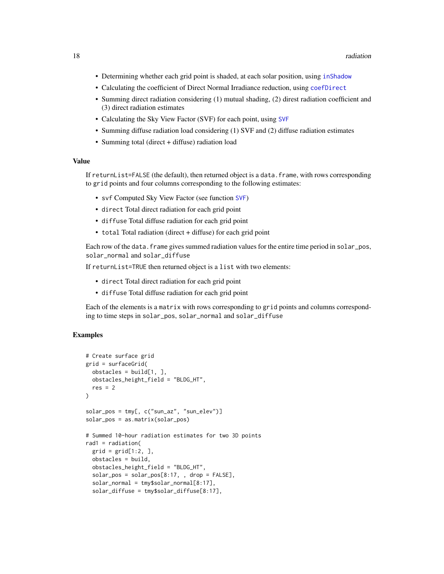- <span id="page-17-0"></span>• Determining whether each grid point is shaded, at each solar position, using [inShadow](#page-8-1)
- Calculating the coefficient of Direct Normal Irradiance reduction, using [coefDirect](#page-5-1)
- Summing direct radiation considering (1) mutual shading, (2) direst radiation coefficient and (3) direct radiation estimates
- Calculating the Sky View Factor (SVF) for each point, using [SVF](#page-29-1)
- Summing diffuse radiation load considering (1) SVF and (2) diffuse radiation estimates
- Summing total (direct + diffuse) radiation load

#### Value

If returnList=FALSE (the default), then returned object is a data.frame, with rows corresponding to grid points and four columns corresponding to the following estimates:

- svf Computed Sky View Factor (see function [SVF](#page-29-1))
- direct Total direct radiation for each grid point
- diffuse Total diffuse radiation for each grid point
- total Total radiation (direct + diffuse) for each grid point

Each row of the data. frame gives summed radiation values for the entire time period in solar\_pos, solar\_normal and solar\_diffuse

If returnList=TRUE then returned object is a list with two elements:

- direct Total direct radiation for each grid point
- diffuse Total diffuse radiation for each grid point

Each of the elements is a matrix with rows corresponding to grid points and columns corresponding to time steps in solar\_pos, solar\_normal and solar\_diffuse

```
# Create surface grid
grid = surfaceGrid(
 obstackes = build[1, ]obstacles_height_field = "BLDG_HT",
 res = 2)
solar_pos = tmy[, c("sun_az", "sun_elev")]
solar_pos = as.matrix(solar_pos)
# Summed 10-hour radiation estimates for two 3D points
rad1 = radiation(
 grid = grid[1:2, ],
 obstacles = build,
 obstacles_height_field = "BLDG_HT",
 solar_pos = solar_pos[8:17, , drop = FALSE],solar_normal = tmy$solar_normal[8:17],
 solar_diffuse = tmy$solar_diffuse[8:17],
```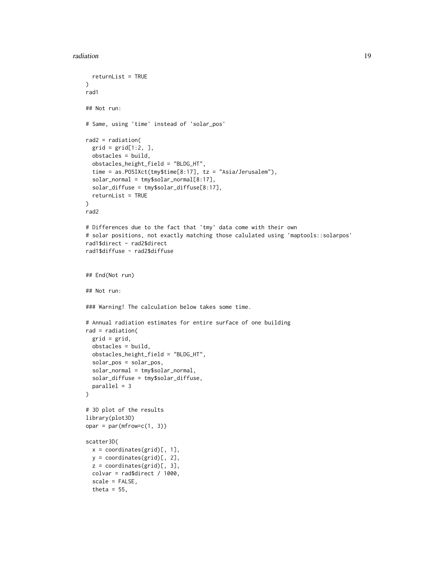#### radiation and the contract of the contract of the contract of the contract of the contract of the contract of the contract of the contract of the contract of the contract of the contract of the contract of the contract of

```
returnList = TRUE
\mathcal{L}rad1
## Not run:
# Same, using 'time' instead of 'solar_pos'
rad2 = radiation(
  grid = grid[1:2, ]obstacles = build,
  obstacles_height_field = "BLDG_HT",
  time = as.POSIXct(tmy$time[8:17], tz = "Asia/Jerusalem"),
  solar_normal = tmy$solar_normal[8:17],
  solar_diffuse = tmy$solar_diffuse[8:17],
  returnList = TRUE
)
rad2
# Differences due to the fact that 'tmy' data come with their own
# solar positions, not exactly matching those calulated using 'maptools::solarpos'
rad1$direct - rad2$direct
rad1$diffuse - rad2$diffuse
## End(Not run)
## Not run:
### Warning! The calculation below takes some time.
# Annual radiation estimates for entire surface of one building
rad = radiation(
  grid = grid,
  obstacles = build,
  obstacles_height_field = "BLDG_HT",
  solar_pos = solar_pos,
  solar_normal = tmy$solar_normal,
  solar_diffuse = tmy$solar_diffuse,
  parallel = 3
)
# 3D plot of the results
library(plot3D)
opar = par(mfrow=c(1, 3))scatter3D(
  x = coordinates(grid)[, 1],y = coordinates(grid)[, 2],
  z = coordinates(grid)[, 3],colvar = rad$direct / 1000,scale = FALSE,
  theta = 55,
```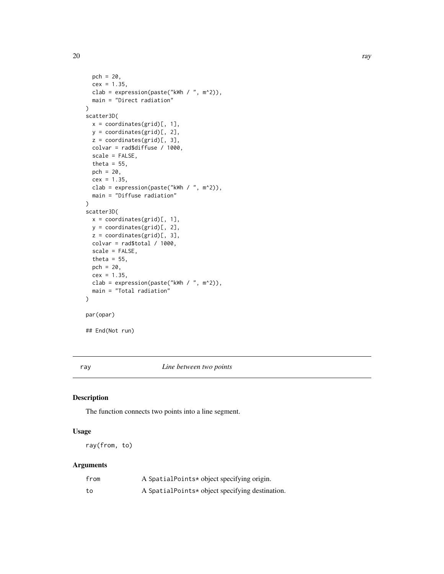```
pch = 20,
  cex = 1.35,clab = expression(paste("kWh / ", m^2)),
 main = "Direct radiation"
)
scatter3D(
 x = coordinates(grid)[, 1],y = coordinates(grid)[, 2],
 z = coordinates(grid)[, 3],
  colvar = rad$diffuse / 1000,
  scale = FALSE,
  theta = 55,
  pch = 20,
  cex = 1.35,
  clab = expression(paste("kWh / ", m^2)),
  main = "Diffuse radiation"
)
scatter3D(
  x = coordinates(grid)[, 1],y = coordinates(grid)[, 2],
 z = coordinates(grid)[, 3],colvar = rad$total / 1000,scale = FALSE,
  theta = 55,
  pch = 20,
  cex = 1.35,clab = expression(paste("kWh / ", m^2)),
  main = "Total radiation"
)
par(opar)
## End(Not run)
```
ray *Line between two points*

#### Description

The function connects two points into a line segment.

#### Usage

ray(from, to)

#### Arguments

| from | A SpatialPoints* object specifying origin.      |
|------|-------------------------------------------------|
| to   | A SpatialPoints* object specifying destination. |

<span id="page-19-0"></span>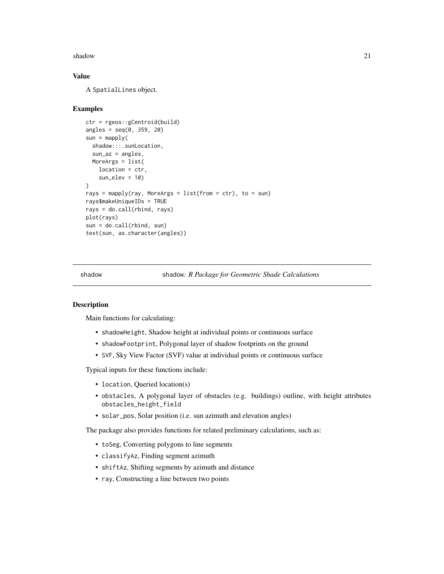#### <span id="page-20-0"></span>shadow 21

#### Value

A SpatialLines object.

#### Examples

```
ctr = rgeos::gCentroid(build)
angles = seq(0, 359, 20)sun = maply(shadow:::.sunLocation,
 sun_az = angles,MoreArgs = list(
   location = ctr,
   sun\_elev = 10\lambdarays = mapply(ray, MoreArgs = list(from = ctr), to = sun)
rays$makeUniqueIDs = TRUE
rays = do.call(rbind, rays)
plot(rays)
sun = do.call(rbind, sun)
text(sun, as.character(angles))
```
shadow shadow*: R Package for Geometric Shade Calculations*

#### Description

Main functions for calculating:

- shadowHeight, Shadow height at individual points or continuous surface
- shadowFootprint, Polygonal layer of shadow footprints on the ground
- SVF, Sky View Factor (SVF) value at individual points or continuous surface

Typical inputs for these functions include:

- location, Queried location(s)
- obstacles, A polygonal layer of obstacles (e.g. buildings) outline, with height attributes obstacles\_height\_field
- solar\_pos, Solar position (i.e. sun azimuth and elevation angles)

The package also provides functions for related preliminary calculations, such as:

- toSeg, Converting polygons to line segments
- classifyAz, Finding segment azimuth
- shiftAz, Shifting segments by azimuth and distance
- ray, Constructing a line between two points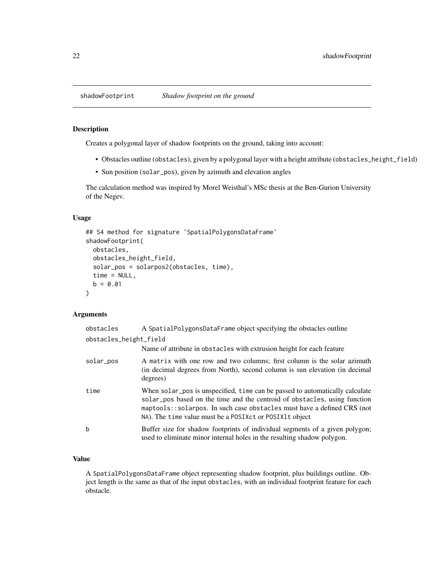<span id="page-21-0"></span>

#### Description

Creates a polygonal layer of shadow footprints on the ground, taking into account:

- Obstacles outline (obstacles), given by a polygonal layer with a height attribute (obstacles\_height\_field)
- Sun position (solar\_pos), given by azimuth and elevation angles

The calculation method was inspired by Morel Weisthal's MSc thesis at the Ben-Gurion University of the Negev.

#### Usage

```
## S4 method for signature 'SpatialPolygonsDataFrame'
shadowFootprint(
 obstacles,
  obstacles_height_field,
  solar_pos = solarpos2(obstacles, time),
  time = NULL,
 b = 0.01)
```
#### Arguments

| obstacles              | A SpatialPolygonsDataFrame object specifying the obstacles outline                                                                                                                                                                                                                                |
|------------------------|---------------------------------------------------------------------------------------------------------------------------------------------------------------------------------------------------------------------------------------------------------------------------------------------------|
| obstacles_height_field |                                                                                                                                                                                                                                                                                                   |
|                        | Name of attribute in obstacles with extrusion height for each feature                                                                                                                                                                                                                             |
| solar_pos              | A matrix with one row and two columns; first column is the solar azimuth<br>(in decimal degrees from North), second column is sun elevation (in decimal<br>degrees)                                                                                                                               |
| time                   | When solar pos is unspecified, time can be passed to automatically calculate<br>solar pos based on the time and the centroid of obstacles, using function<br>maptools: solarpos. In such case obstacles must have a defined CRS (not<br>NA). The time value must be a POSIX ct or POSIX lt object |
| b                      | Buffer size for shadow footprints of individual segments of a given polygon;<br>used to eliminate minor internal holes in the resulting shadow polygon.                                                                                                                                           |

#### Value

A SpatialPolygonsDataFrame object representing shadow footprint, plus buildings outline. Object length is the same as that of the input obstacles, with an individual footprint feature for each obstacle.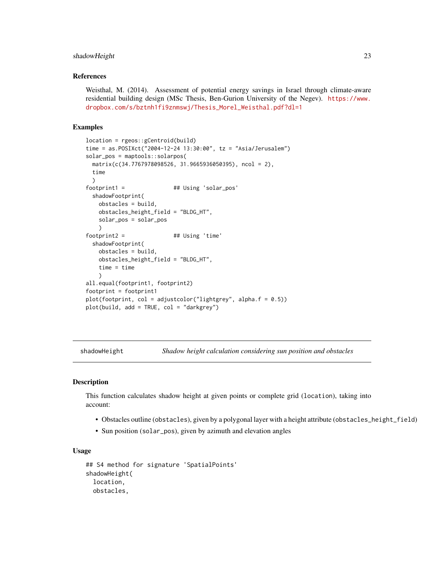#### <span id="page-22-0"></span>shadowHeight 23

#### References

Weisthal, M. (2014). Assessment of potential energy savings in Israel through climate-aware residential building design (MSc Thesis, Ben-Gurion University of the Negev). [https://www.](https://www.dropbox.com/s/bztnh1fi9znmswj/Thesis_Morel_Weisthal.pdf?dl=1) [dropbox.com/s/bztnh1fi9znmswj/Thesis\\_Morel\\_Weisthal.pdf?dl=1](https://www.dropbox.com/s/bztnh1fi9znmswj/Thesis_Morel_Weisthal.pdf?dl=1)

#### Examples

```
location = rgeos::gCentroid(build)
time = as.POSIXct("2004-12-24 13:30:00", tz = "Asia/Jerusalem")
solar_pos = maptools::solarpos(
 matrix(c(34.7767978098526, 31.9665936050395), ncol = 2),
 time
 )
footprint1 = \# ## Using 'solar_pos'
 shadowFootprint(
   obstacles = build,
   obstacles_height_field = "BLDG_HT",
   solar_pos = solar_pos
   \lambdafootprint2 =  # # Using 'time'shadowFootprint(
   obstacles = build,
   obstacles_height_field = "BLDG_HT",
   time = time
    )
all.equal(footprint1, footprint2)
footprint = footprint1
plot(footprint, col = adjustcolor("lightgrey", alpha.f = 0.5))
plot(build, add = TRUE, col = "darkgrey")
```
<span id="page-22-1"></span>shadowHeight *Shadow height calculation considering sun position and obstacles*

#### **Description**

This function calculates shadow height at given points or complete grid (location), taking into account:

- Obstacles outline (obstacles), given by a polygonal layer with a height attribute (obstacles\_height\_field)
- Sun position (solar\_pos), given by azimuth and elevation angles

#### Usage

```
## S4 method for signature 'SpatialPoints'
shadowHeight(
  location,
 obstacles,
```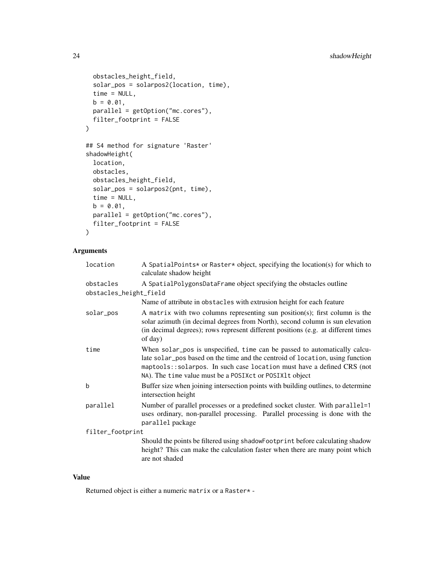```
obstacles_height_field,
 solar_pos = solarpos2(location, time),
 time = NULL,
 b = 0.01,parallel = getOption("mc.cores"),
 filter_footprint = FALSE
\mathcal{L}## S4 method for signature 'Raster'
shadowHeight(
 location,
 obstacles,
 obstacles_height_field,
  solar_pos = solarpos2(pnt, time),
 time = NULL,
 b = 0.01,
 parallel = getOption("mc.cores"),
 filter_footprint = FALSE
```

```
\lambda
```
#### Arguments

| location               | A SpatialPoints* or Raster* object, specifying the location(s) for which to<br>calculate shadow height                                                                                                                                                                                          |
|------------------------|-------------------------------------------------------------------------------------------------------------------------------------------------------------------------------------------------------------------------------------------------------------------------------------------------|
| obstacles              | A SpatialPolygonsDataFrame object specifying the obstacles outline                                                                                                                                                                                                                              |
| obstacles_height_field |                                                                                                                                                                                                                                                                                                 |
|                        | Name of attribute in obstacles with extrusion height for each feature                                                                                                                                                                                                                           |
| solar_pos              | A matrix with two columns representing sun position(s); first column is the<br>solar azimuth (in decimal degrees from North), second column is sun elevation<br>(in decimal degrees); rows represent different positions (e.g. at different times<br>of day)                                    |
| time                   | When solar_pos is unspecified, time can be passed to automatically calcu-<br>late solar_pos based on the time and the centroid of location, using function<br>maptools::solarpos. In such case location must have a defined CRS (not<br>NA). The time value must be a POSIXct or POSIX1t object |
| b                      | Buffer size when joining intersection points with building outlines, to determine<br>intersection height                                                                                                                                                                                        |
| parallel               | Number of parallel processes or a predefined socket cluster. With parallel=1<br>uses ordinary, non-parallel processing. Parallel processing is done with the<br>parallel package                                                                                                                |
| filter_footprint       |                                                                                                                                                                                                                                                                                                 |
|                        | Should the points be filtered using shadowFootprint before calculating shadow<br>height? This can make the calculation faster when there are many point which<br>are not shaded                                                                                                                 |

#### Value

Returned object is either a numeric matrix or a Raster\* -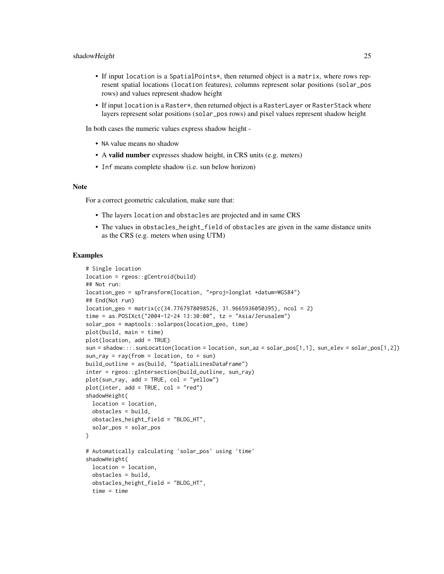- If input location is a SpatialPoints\*, then returned object is a matrix, where rows represent spatial locations (location features), columns represent solar positions (solar\_pos rows) and values represent shadow height
- If input location is a Raster\*, then returned object is a RasterLayer or RasterStack where layers represent solar positions (solar\_pos rows) and pixel values represent shadow height

In both cases the numeric values express shadow height -

- NA value means no shadow
- A valid number expresses shadow height, in CRS units (e.g. meters)
- Inf means complete shadow (i.e. sun below horizon)

#### Note

For a correct geometric calculation, make sure that:

- The layers location and obstacles are projected and in same CRS
- The values in obstacles\_height\_field of obstacles are given in the same distance units as the CRS (e.g. meters when using UTM)

```
# Single location
location = rgeos::gCentroid(build)
## Not run:
location_geo = spTransform(location, "+proj=longlat +datum=WGS84")
## End(Not run)
location\_geo = matrix(c(34.7767978098526, 31.9665936050395), ncol = 2)time = as.POSIXct("2004-12-24 13:30:00", tz = "Asia/Jerusalem")
solar_pos = maptools::solarpos(location_geo, time)
plot(build, main = time)
plot(location, add = TRUE)
sun = shadow:::.sunLocation(location = location, sun_az = solar_pos[1,1], sun_elev = solar_pos[1,2])
sun<sub>ray</sub> = ray(from = location, to = sun)
build_outline = as(build, "SpatialLinesDataFrame")
inter = rgeos::gIntersection(build_outline, sun_ray)
plot(sun_ray, add = TRUE, col = "yellow")
plot(inter, add = TRUE, col = "red")shadowHeight(
  location = location,
  obstacles = build,
  obstacles_height_field = "BLDG_HT",
  solar_pos = solar_pos
)
# Automatically calculating 'solar_pos' using 'time'
shadowHeight(
  location = location,
  obstacles = build,
  obstacles_height_field = "BLDG_HT",
  time = time
```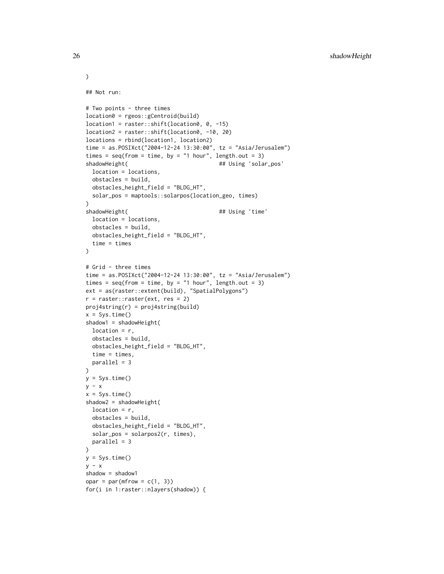```
## Not run:
# Two points - three times
location0 = rgeos::gCentroid(build)
location1 = raster::shift(location0, 0, -15)
location2 = raster::shift(location0, -10, 20)
locations = rbind(location1, location2)
time = as.POSIXct("2004-12-24 13:30:00", tz = "Asia/Jerusalem")
times = seq(from = time, by = "1 hour", length.out = 3)shadowHeight( \qquad \qquad \qquad \qquad \qquad \qquad \qquad \qquad \qquad \qquad \qquad \qquad \qquad \qquad \qquad \qquad \qquad \qquad \qquad \qquad \qquad \qquad \qquad \qquad \qquad \qquad \qquad \qquad \qquad \qquad \qquad \qquad \qquad \qquad \qquadlocation = locations,
  obstacles = build,
  obstacles_height_field = "BLDG_HT",
  solar_pos = maptools::solarpos(location_geo, times)
)
shadowHeight( \qquad ## Using 'time'
  location = locations,
  obstacles = build,
  obstacles_height_field = "BLDG_HT",
  time = times
\lambda# Grid - three times
time = as.POSIXct("2004-12-24 13:30:00", tz = "Asia/Jerusalem")
times = seq(from = time, by = "1 hour", length.out = 3)ext = as(raster::extent(build), "SpatialPolygons")
r = raster::raster(ext, res = 2)proj4string(r) = proj4string(build)
x = Sys.time()shadow1 = shadowHeight(
  location = r,
  obstacles = build,
  obstacles_height_field = "BLDG_HT",
  time = times,
  parallel = 3
\lambday = Sys.time()y - xx = Sys.time()shadow2 = shadowHeight(
  location = r,
  obstacles = build,
  obstacles_height_field = "BLDG_HT",
  solar_pos = solarpos2(r, times),
  parallel = 3
\lambday = Sys.time()
y - xshadow = shadow1
opar = par(mfrow = c(1, 3))for(i in 1:raster::nlayers(shadow)) {
```
)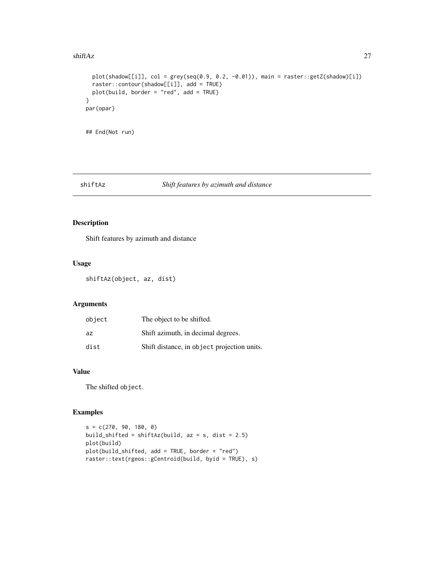#### <span id="page-26-0"></span> $\frac{1}{27}$  shiftAz 27

```
plot(shadow[[i]], col = grey(seq(0.9, 0.2, -0.01)), main = raster::getZ(shadow)[i])
  raster::contour(shadow[[i]], add = TRUE)
  plot(build, border = "red", add = TRUE)
}
par(opar)
## End(Not run)
```
#### shiftAz *Shift features by azimuth and distance*

#### Description

Shift features by azimuth and distance

#### Usage

shiftAz(object, az, dist)

#### Arguments

| object | The object to be shifted.                   |
|--------|---------------------------------------------|
| az     | Shift azimuth, in decimal degrees.          |
| dist   | Shift distance, in object projection units. |

#### Value

The shifted object.

```
s = c(270, 90, 180, 0)build_shifted = shiftAz(build, az = s, dist = 2.5)
plot(build)
plot(build_shifted, add = TRUE, border = "red")
raster::text(rgeos::gCentroid(build, byid = TRUE), s)
```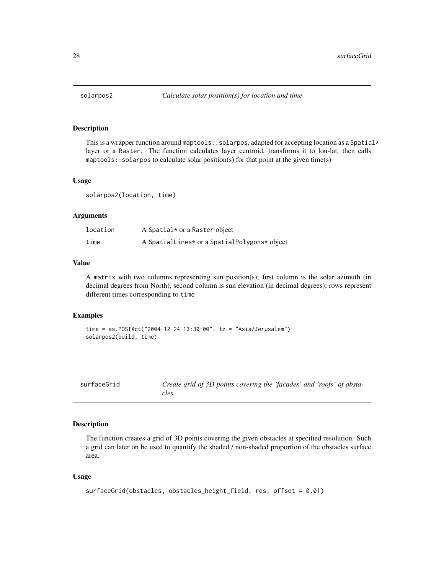<span id="page-27-0"></span>

#### Description

This is a wrapper function around maptools: : solarpos, adapted for accepting location as a Spatial $*$ layer or a Raster. The function calculates layer centroid, transforms it to lon-lat, then calls maptools:: solarpos to calculate solar position(s) for that point at the given time(s)

#### Usage

solarpos2(location, time)

#### Arguments

| location | A Spatial* or a Raster object                |
|----------|----------------------------------------------|
| time     | A SpatialLines* or a SpatialPolygons* object |

#### Value

A matrix with two columns representing sun position(s); first column is the solar azimuth (in decimal degrees from North), second column is sun elevation (in decimal degrees); rows represent different times corresponding to time

#### Examples

```
time = as.POSIXct("2004-12-24 13:30:00", tz = "Asia/Jerusalem")
solarpos2(build, time)
```
<span id="page-27-1"></span>

| surfaceGrid | Create grid of 3D points covering the 'facades' and 'roofs' of obsta- |
|-------------|-----------------------------------------------------------------------|
|             | cles                                                                  |

#### Description

The function creates a grid of 3D points covering the given obstacles at specified resolution. Such a grid can later on be used to quantify the shaded / non-shaded proportion of the obstacles surface area.

#### Usage

```
surfaceGrid(obstacles, obstacles_height_field, res, offset = 0.01)
```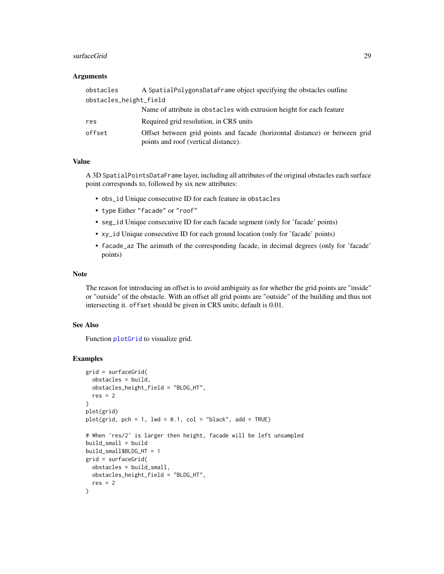#### <span id="page-28-0"></span>surfaceGrid 29

#### Arguments

| obstacles              | A SpatialPolygonsDataFrame object specifying the obstacles outline                                                  |
|------------------------|---------------------------------------------------------------------------------------------------------------------|
| obstacles_height_field |                                                                                                                     |
|                        | Name of attribute in obstacles with extrusion height for each feature                                               |
| res                    | Required grid resolution, in CRS units                                                                              |
| offset                 | Offset between grid points and facade (horizontal distance) or between grid<br>points and roof (vertical distance). |

#### Value

A 3D SpatialPointsDataFrame layer, including all attributes of the original obstacles each surface point corresponds to, followed by six new attributes:

- obs\_id Unique consecutive ID for each feature in obstacles
- type Either "facade" or "roof"
- seg\_id Unique consecutive ID for each facade segment (only for 'facade' points)
- xy\_id Unique consecutive ID for each ground location (only for 'facade' points)
- facade\_az The azimuth of the corresponding facade, in decimal degrees (only for 'facade' points)

#### Note

The reason for introducing an offset is to avoid ambiguity as for whether the grid points are "inside" or "outside" of the obstacle. With an offset all grid points are "outside" of the building and thus not intersecting it. offset should be given in CRS units; default is 0.01.

#### See Also

Function [plotGrid](#page-13-1) to visualize grid.

```
grid = surfaceGrid(
  obstacles = build,
  obstacles_height_field = "BLDG_HT",
  res = 2)
plot(grid)
plot(grid, pch = 1, lwd = 0.1, col = "black", add = TRUE)
# When 'res/2' is larger then height, facade will be left unsampled
build_small = build
build_small$BLDG_HT = 1
grid = surfaceGrid(
  obstacles = build_small,
  obstacles_height_field = "BLDG_HT",
  res = 2)
```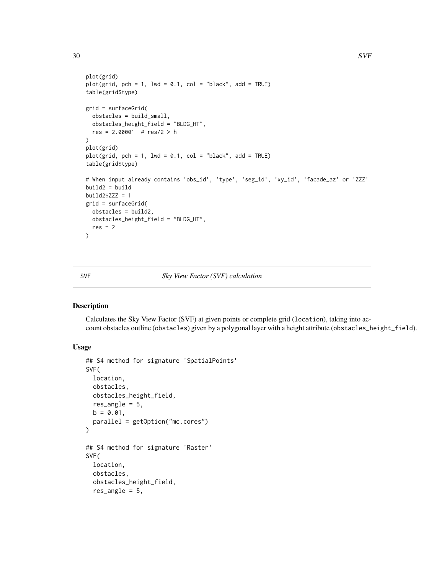```
plot(grid)
plot(grid, pch = 1, lwd = 0.1, col = "black", add = TRUE)
table(grid$type)
grid = surfaceGrid(
  obstacles = build_small,
  obstacles_height_field = "BLDG_HT",
  res = 2.00001 # res/2 > h
\lambdaplot(grid)
plot(grid, pch = 1, lwd = 0.1, col = "black", add = TRUE)
table(grid$type)
# When input already contains 'obs_id', 'type', 'seg_id', 'xy_id', 'facade_az' or 'ZZZ'
build2 = buildbuild2$ZZZ = 1grid = surfaceGrid(
  obstacles = build2,
 obstacles_height_field = "BLDG_HT",
  res = 2)
```
#### <span id="page-29-1"></span>SVF *Sky View Factor (SVF) calculation*

#### Description

Calculates the Sky View Factor (SVF) at given points or complete grid (location), taking into account obstacles outline (obstacles) given by a polygonal layer with a height attribute (obstacles\_height\_field).

#### Usage

```
## S4 method for signature 'SpatialPoints'
SVF(
  location,
  obstacles,
 obstacles_height_field,
  res_angle = 5,
 b = 0.01,
 parallel = getOption("mc.cores")
)
## S4 method for signature 'Raster'
SVF(
  location,
  obstacles,
  obstacles_height_field,
  res_angle = 5,
```
<span id="page-29-0"></span>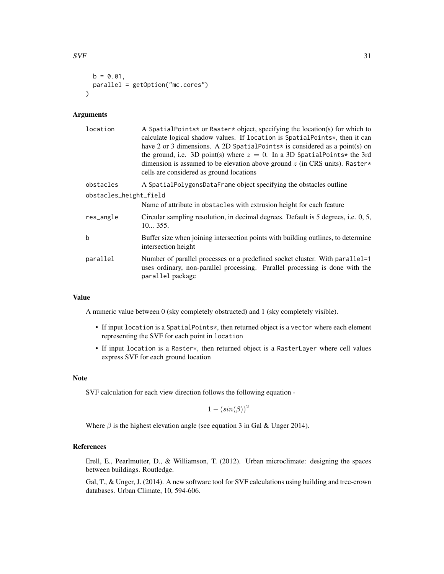```
b = 0.01,
 parallel = getOption("mc.cores")
\lambda
```
#### Arguments

| location               | A SpatialPoints* or Raster* object, specifying the location(s) for which to<br>calculate logical shadow values. If location is SpatialPoints*, then it can<br>have 2 or 3 dimensions. A 2D SpatialPoints* is considered as a point(s) on<br>the ground, i.e. 3D point(s) where $z = 0$ . In a 3D SpatialPoints* the 3rd<br>dimension is assumed to be elevation above ground $z$ (in CRS units). Raster*<br>cells are considered as ground locations |
|------------------------|------------------------------------------------------------------------------------------------------------------------------------------------------------------------------------------------------------------------------------------------------------------------------------------------------------------------------------------------------------------------------------------------------------------------------------------------------|
| obstacles              | A SpatialPolygonsDataFrame object specifying the obstacles outline                                                                                                                                                                                                                                                                                                                                                                                   |
| obstacles_height_field |                                                                                                                                                                                                                                                                                                                                                                                                                                                      |
|                        | Name of attribute in obstacles with extrusion height for each feature                                                                                                                                                                                                                                                                                                                                                                                |
| res_angle              | Circular sampling resolution, in decimal degrees. Default is 5 degrees, i.e. 0, 5,<br>10355.                                                                                                                                                                                                                                                                                                                                                         |
| b                      | Buffer size when joining intersection points with building outlines, to determine<br>intersection height                                                                                                                                                                                                                                                                                                                                             |
| parallel               | Number of parallel processes or a predefined socket cluster. With parallel=1<br>uses ordinary, non-parallel processing. Parallel processing is done with the<br>parallel package                                                                                                                                                                                                                                                                     |

#### Value

A numeric value between 0 (sky completely obstructed) and 1 (sky completely visible).

- If input location is a SpatialPoints\*, then returned object is a vector where each element representing the SVF for each point in location
- If input location is a Raster\*, then returned object is a RasterLayer where cell values express SVF for each ground location

#### Note

SVF calculation for each view direction follows the following equation -

 $1 - (sin(\beta))^2$ 

Where  $\beta$  is the highest elevation angle (see equation 3 in Gal & Unger 2014).

#### References

Erell, E., Pearlmutter, D., & Williamson, T. (2012). Urban microclimate: designing the spaces between buildings. Routledge.

Gal, T., & Unger, J. (2014). A new software tool for SVF calculations using building and tree-crown databases. Urban Climate, 10, 594-606.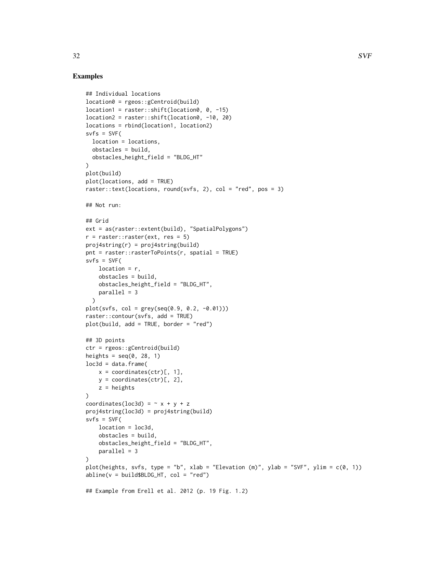```
## Individual locations
location0 = rgeos::gCentroid(build)
location1 = raster::shift(location0, 0, -15)
location2 = raster::shift(location0, -10, 20)
locations = rbind(location1, location2)
s\nu fs = SVF(location = locations,
  obstacles = build,
 obstacles_height_field = "BLDG_HT"
)
plot(build)
plot(locations, add = TRUE)
raster::text(locations, round(svfs, 2), col = "red", pos = 3)
## Not run:
## Grid
ext = as(raster::extent(build), "SpatialPolygons")
r = raster:: raster(ext, res = 5)
proj4string(r) = proj4string(build)
pnt = raster::rasterToPoints(r, spatial = TRUE)
s\nu fs = SVF(location = r,
    obstacles = build,
   obstacles_height_field = "BLDG_HT",
   parallel = 3
  \lambdaplot(svfs, col = grey(seq(0.9, 0.2, -0.01)))
raster::contour(svfs, add = TRUE)
plot(build, add = TRUE, border = "red")
## 3D points
ctr = rgeos::gCentroid(build)
heights = seq(0, 28, 1)loc3d = data.frame(x = coordinates(ctr)[, 1],y = coordinates(ctr)[, 2],
   z = heights
\lambdacoordinates(loc3d) = \sim x + y + zproj4string(loc3d) = proj4string(build)
s\nu fs = SVF(location = loc3d,
   obstacles = build,
   obstacles_height_field = "BLDG_HT",
   parallel = 3
)
plot(heights, svfs, type = "b", xlab = "Elevation (m)", ylab = "SVF", ylim = c(0, 1))
abline(v = build$BLDG_HT, col = "red")## Example from Erell et al. 2012 (p. 19 Fig. 1.2)
```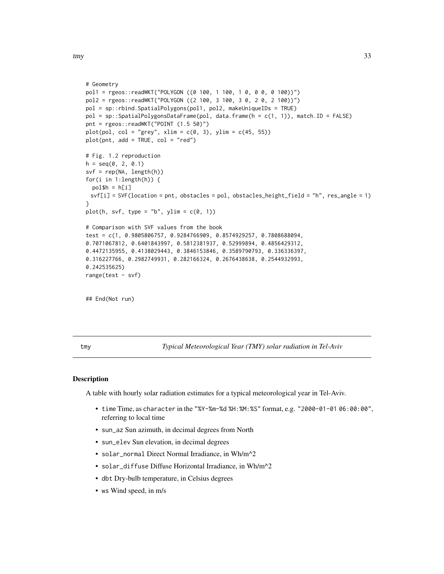```
# Geometry
pol1 = rgeos::readWKT("POLYGON ((0 100, 1 100, 1 0, 0 0, 0 100))")
pol2 = rgeos::readWKT("POLYGON ((2 100, 3 100, 3 0, 2 0, 2 100))")
pol = sp::rbind.SpatialPolygons(pol1, pol2, makeUniqueIDs = TRUE)
pol = sp::SpatialPolygonsDataFrame(pol, data.frame(h = c(1, 1)), match.ID = FALSE)
pnt = rgeos::readWKT("POINT (1.5 50)")
plot(pol, col = "grey", xlim = c(0, 3), ylim = c(45, 55))plot(pnt, add = TRUE, col = "red")# Fig. 1.2 reproduction
h = seq(0, 2, 0.1)svf = rep(NA, length(h))
for(i in 1:length(h)) {
  pol$h = h[i]svf[i] = SVF(location = pnt, obstacles = pol, obstacles_height_field = "h", res_angle = 1)
}
plot(h, svf, type = "b", ylim = c(\emptyset, 1))
# Comparison with SVF values from the book
test = c(1, 0.9805806757, 0.9284766909, 0.8574929257, 0.7808688094,
0.7071067812, 0.6401843997, 0.5812381937, 0.52999894, 0.4856429312,
0.4472135955, 0.4138029443, 0.3846153846, 0.3589790793, 0.336336397,
0.316227766, 0.2982749931, 0.282166324, 0.2676438638, 0.2544932993,
0.242535625)
range(test - svf)
## End(Not run)
```
tmy *Typical Meteorological Year (TMY) solar radiation in Tel-Aviv*

#### Description

A table with hourly solar radiation estimates for a typical meteorological year in Tel-Aviv.

- time Time, as character in the "%Y-%m-%d %H:%M:%S" format, e.g. "2000-01-01 06:00:00", referring to local time
- sun\_az Sun azimuth, in decimal degrees from North
- sun\_elev Sun elevation, in decimal degrees
- solar\_normal Direct Normal Irradiance, in Wh/m^2
- solar\_diffuse Diffuse Horizontal Irradiance, in Wh/m^2
- dbt Dry-bulb temperature, in Celsius degrees
- ws Wind speed, in m/s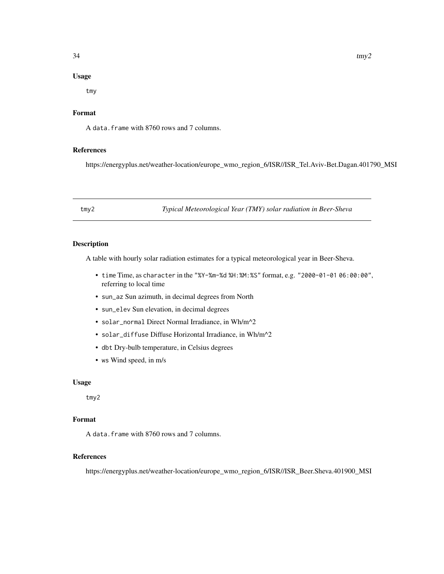#### <span id="page-33-0"></span>Usage

tmy

#### Format

A data.frame with 8760 rows and 7 columns.

#### References

https://energyplus.net/weather-location/europe\_wmo\_region\_6/ISR//ISR\_Tel.Aviv-Bet.Dagan.401790\_MSI

tmy2 *Typical Meteorological Year (TMY) solar radiation in Beer-Sheva*

#### Description

A table with hourly solar radiation estimates for a typical meteorological year in Beer-Sheva.

- time Time, as character in the "%Y-%m-%d %H:%M:%S" format, e.g. "2000-01-01 06:00:00", referring to local time
- sun\_az Sun azimuth, in decimal degrees from North
- sun\_elev Sun elevation, in decimal degrees
- solar\_normal Direct Normal Irradiance, in Wh/m^2
- solar\_diffuse Diffuse Horizontal Irradiance, in Wh/m^2
- dbt Dry-bulb temperature, in Celsius degrees
- ws Wind speed, in m/s

#### Usage

tmy2

#### Format

A data.frame with 8760 rows and 7 columns.

#### References

https://energyplus.net/weather-location/europe\_wmo\_region\_6/ISR//ISR\_Beer.Sheva.401900\_MSI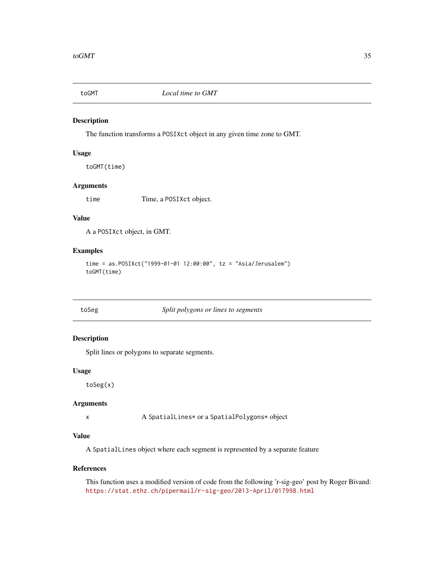<span id="page-34-0"></span>

#### Description

The function transforms a POSIXct object in any given time zone to GMT.

#### Usage

toGMT(time)

#### Arguments

time Time, a POSIXct object.

#### Value

A a POSIXct object, in GMT.

#### Examples

```
time = as.POSIXct("1999-01-01 12:00:00", tz = "Asia/Jerusalem")
toGMT(time)
```
toSeg *Split polygons or lines to segments*

#### Description

Split lines or polygons to separate segments.

#### Usage

toSeg(x)

#### Arguments

x A SpatialLines\* or a SpatialPolygons\* object

#### Value

A SpatialLines object where each segment is represented by a separate feature

#### References

This function uses a modified version of code from the following 'r-sig-geo' post by Roger Bivand: <https://stat.ethz.ch/pipermail/r-sig-geo/2013-April/017998.html>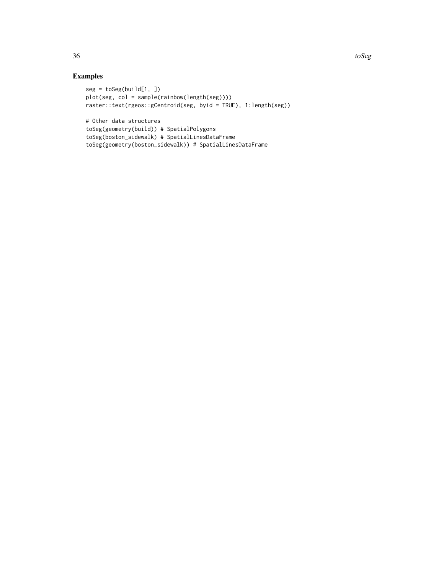```
seg = toSeg(build[1, ])plot(seg, col = sample(rainbow(length(seg))))
raster::text(rgeos::gCentroid(seg, byid = TRUE), 1:length(seg))
# Other data structures
toSeg(geometry(build)) # SpatialPolygons
toSeg(boston_sidewalk) # SpatialLinesDataFrame
toSeg(geometry(boston_sidewalk)) # SpatialLinesDataFrame
```